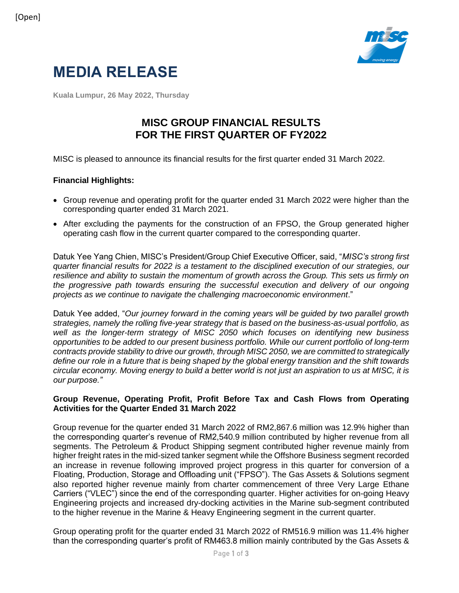

# **MEDIA RELEASE**

**Kuala Lumpur, 26 May 2022, Thursday**

## **MISC GROUP FINANCIAL RESULTS FOR THE FIRST QUARTER OF FY2022**

MISC is pleased to announce its financial results for the first quarter ended 31 March 2022.

#### **Financial Highlights:**

- Group revenue and operating profit for the quarter ended 31 March 2022 were higher than the corresponding quarter ended 31 March 2021.
- After excluding the payments for the construction of an FPSO, the Group generated higher operating cash flow in the current quarter compared to the corresponding quarter.

Datuk Yee Yang Chien, MISC's President/Group Chief Executive Officer, said, "*MISC's strong first quarter financial results for 2022 is a testament to the disciplined execution of our strategies, our resilience and ability to sustain the momentum of growth across the Group. This sets us firmly on the progressive path towards ensuring the successful execution and delivery of our ongoing projects as we continue to navigate the challenging macroeconomic environment*."

Datuk Yee added, "*Our journey forward in the coming years will be guided by two parallel growth strategies, namely the rolling five-year strategy that is based on the business-as-usual portfolio, as well as the longer-term strategy of MISC 2050 which focuses on identifying new business opportunities to be added to our present business portfolio. While our current portfolio of long-term contracts provide stability to drive our growth, through MISC 2050, we are committed to strategically define our role in a future that is being shaped by the global energy transition and the shift towards circular economy. Moving energy to build a better world is not just an aspiration to us at MISC, it is our purpose."*

#### **Group Revenue, Operating Profit, Profit Before Tax and Cash Flows from Operating Activities for the Quarter Ended 31 March 2022**

Group revenue for the quarter ended 31 March 2022 of RM2,867.6 million was 12.9% higher than the corresponding quarter's revenue of RM2,540.9 million contributed by higher revenue from all segments. The Petroleum & Product Shipping segment contributed higher revenue mainly from higher freight rates in the mid-sized tanker segment while the Offshore Business segment recorded an increase in revenue following improved project progress in this quarter for conversion of a Floating, Production, Storage and Offloading unit ("FPSO"). The Gas Assets & Solutions segment also reported higher revenue mainly from charter commencement of three Very Large Ethane Carriers ("VLEC") since the end of the corresponding quarter. Higher activities for on-going Heavy Engineering projects and increased dry-docking activities in the Marine sub-segment contributed to the higher revenue in the Marine & Heavy Engineering segment in the current quarter.

Group operating profit for the quarter ended 31 March 2022 of RM516.9 million was 11.4% higher than the corresponding quarter's profit of RM463.8 million mainly contributed by the Gas Assets &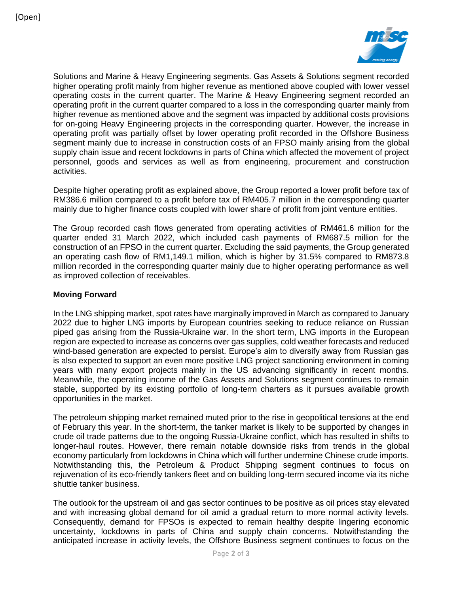

Solutions and Marine & Heavy Engineering segments. Gas Assets & Solutions segment recorded higher operating profit mainly from higher revenue as mentioned above coupled with lower vessel operating costs in the current quarter. The Marine & Heavy Engineering segment recorded an operating profit in the current quarter compared to a loss in the corresponding quarter mainly from higher revenue as mentioned above and the segment was impacted by additional costs provisions for on-going Heavy Engineering projects in the corresponding quarter. However, the increase in operating profit was partially offset by lower operating profit recorded in the Offshore Business segment mainly due to increase in construction costs of an FPSO mainly arising from the global supply chain issue and recent lockdowns in parts of China which affected the movement of project personnel, goods and services as well as from engineering, procurement and construction activities.

Despite higher operating profit as explained above, the Group reported a lower profit before tax of RM386.6 million compared to a profit before tax of RM405.7 million in the corresponding quarter mainly due to higher finance costs coupled with lower share of profit from joint venture entities.

The Group recorded cash flows generated from operating activities of RM461.6 million for the quarter ended 31 March 2022, which included cash payments of RM687.5 million for the construction of an FPSO in the current quarter. Excluding the said payments, the Group generated an operating cash flow of RM1,149.1 million, which is higher by 31.5% compared to RM873.8 million recorded in the corresponding quarter mainly due to higher operating performance as well as improved collection of receivables.

### **Moving Forward**

In the LNG shipping market, spot rates have marginally improved in March as compared to January 2022 due to higher LNG imports by European countries seeking to reduce reliance on Russian piped gas arising from the Russia-Ukraine war. In the short term, LNG imports in the European region are expected to increase as concerns over gas supplies, cold weather forecasts and reduced wind-based generation are expected to persist. Europe's aim to diversify away from Russian gas is also expected to support an even more positive LNG project sanctioning environment in coming years with many export projects mainly in the US advancing significantly in recent months. Meanwhile, the operating income of the Gas Assets and Solutions segment continues to remain stable, supported by its existing portfolio of long-term charters as it pursues available growth opportunities in the market.

The petroleum shipping market remained muted prior to the rise in geopolitical tensions at the end of February this year. In the short-term, the tanker market is likely to be supported by changes in crude oil trade patterns due to the ongoing Russia-Ukraine conflict, which has resulted in shifts to longer-haul routes. However, there remain notable downside risks from trends in the global economy particularly from lockdowns in China which will further undermine Chinese crude imports. Notwithstanding this, the Petroleum & Product Shipping segment continues to focus on rejuvenation of its eco-friendly tankers fleet and on building long-term secured income via its niche shuttle tanker business.

The outlook for the upstream oil and gas sector continues to be positive as oil prices stay elevated and with increasing global demand for oil amid a gradual return to more normal activity levels. Consequently, demand for FPSOs is expected to remain healthy despite lingering economic uncertainty, lockdowns in parts of China and supply chain concerns. Notwithstanding the anticipated increase in activity levels, the Offshore Business segment continues to focus on the